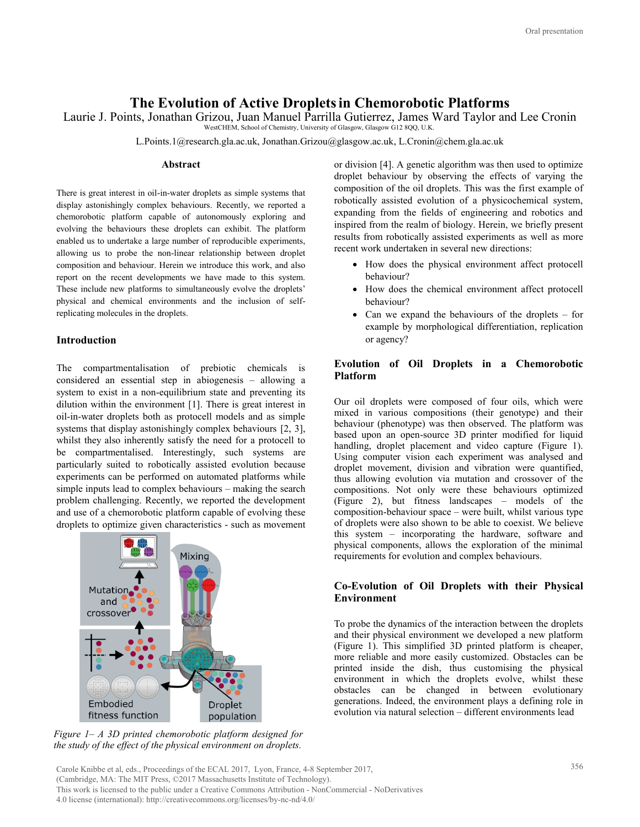# **The Evolution of Active Dropletsin Chemorobotic Platforms**

Laurie J. Points, Jonathan Grizou, Juan Manuel Parrilla Gutierrez, James Ward Taylor and Lee Cronin

WestCHEM, School of Chemistry, University of Glasgow, Glasgow G12 8QQ, U.K.

L.Points.1@research.gla.ac.uk, Jonathan.Grizou@glasgow.ac.uk, L.Cronin@chem.gla.ac.uk

#### **Abstract**

There is great interest in oil-in-water droplets as simple systems that display astonishingly complex behaviours. Recently, we reported a chemorobotic platform capable of autonomously exploring and evolving the behaviours these droplets can exhibit. The platform enabled us to undertake a large number of reproducible experiments, allowing us to probe the non-linear relationship between droplet composition and behaviour. Herein we introduce this work, and also report on the recent developments we have made to this system. These include new platforms to simultaneously evolve the droplets' physical and chemical environments and the inclusion of selfreplicating molecules in the droplets.

## **Introduction**

The compartmentalisation of prebiotic chemicals is considered an essential step in abiogenesis – allowing a system to exist in a non-equilibrium state and preventing its dilution within the environment [1]. There is great interest in oil-in-water droplets both as protocell models and as simple systems that display astonishingly complex behaviours [2, 3], whilst they also inherently satisfy the need for a protocell to be compartmentalised. Interestingly, such systems are particularly suited to robotically assisted evolution because experiments can be performed on automated platforms while simple inputs lead to complex behaviours – making the search problem challenging. Recently, we reported the development and use of a chemorobotic platform capable of evolving these droplets to optimize given characteristics - such as movement



*Figure 1– A 3D printed chemorobotic platform designed for the study of the effect of the physical environment on droplets.*

or division [4]. A genetic algorithm was then used to optimize droplet behaviour by observing the effects of varying the composition of the oil droplets. This was the first example of robotically assisted evolution of a physicochemical system, expanding from the fields of engineering and robotics and inspired from the realm of biology. Herein, we briefly present results from robotically assisted experiments as well as more recent work undertaken in several new directions:

- How does the physical environment affect protocell behaviour?
- How does the chemical environment affect protocell behaviour?
- Can we expand the behaviours of the droplets for example by morphological differentiation, replication or agency?

# **Evolution of Oil Droplets in a Chemorobotic Platform**

Our oil droplets were composed of four oils, which were mixed in various compositions (their genotype) and their behaviour (phenotype) was then observed. The platform was based upon an open-source 3D printer modified for liquid handling, droplet placement and video capture (Figure 1). Using computer vision each experiment was analysed and droplet movement, division and vibration were quantified, thus allowing evolution via mutation and crossover of the compositions. Not only were these behaviours optimized (Figure 2), but fitness landscapes – models of the composition-behaviour space – were built, whilst various type of droplets were also shown to be able to coexist. We believe this system – incorporating the hardware, software and physical components, allows the exploration of the minimal requirements for evolution and complex behaviours.

## **Co-Evolution of Oil Droplets with their Physical Environment**

To probe the dynamics of the interaction between the droplets and their physical environment we developed a new platform (Figure 1). This simplified 3D printed platform is cheaper, more reliable and more easily customized. Obstacles can be printed inside the dish, thus customising the physical environment in which the droplets evolve, whilst these obstacles can be changed in between evolutionary generations. Indeed, the environment plays a defining role in evolution via natural selection – different environments lead